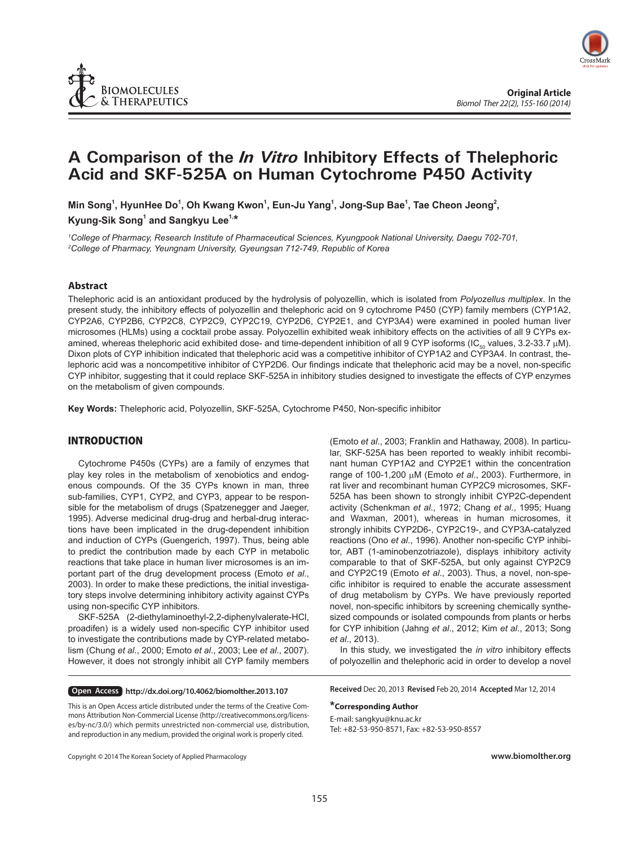

# **A Comparison of the** *In Vitro* **Inhibitory Effects of Thelephoric Acid and SKF-525A on Human Cytochrome P450 Activity**

Min Song<sup>1</sup>, HyunHee Do<sup>1</sup>, Oh Kwang Kwon<sup>1</sup>, Eun-Ju Yang<sup>1</sup>, Jong-Sup Bae<sup>1</sup>, Tae Cheon Jeong<sup>2</sup>, **Kyung-Sik Song1 and Sangkyu Lee1,\***

*1 College of Pharmacy, Research Institute of Pharmaceutical Sciences, Kyungpook National University, Daegu 702-701, 2 College of Pharmacy, Yeungnam University, Gyeungsan 712-749, Republic of Korea*

## **Abstract**

Thelephoric acid is an antioxidant produced by the hydrolysis of polyozellin, which is isolated from *Polyozellus multiplex*. In the present study, the inhibitory effects of polyozellin and thelephoric acid on 9 cytochrome P450 (CYP) family members (CYP1A2, CYP2A6, CYP2B6, CYP2C8, CYP2C9, CYP2C19, CYP2D6, CYP2E1, and CYP3A4) were examined in pooled human liver microsomes (HLMs) using a cocktail probe assay. Polyozellin exhibited weak inhibitory effects on the activities of all 9 CYPs examined, whereas thelephoric acid exhibited dose- and time-dependent inhibition of all 9 CYP isoforms (IC<sub>50</sub> values, 3.2-33.7  $\mu$ M). Dixon plots of CYP inhibition indicated that thelephoric acid was a competitive inhibitor of CYP1A2 and CYP3A4. In contrast, thelephoric acid was a noncompetitive inhibitor of CYP2D6. Our findings indicate that thelephoric acid may be a novel, non-specific CYP inhibitor, suggesting that it could replace SKF-525A in inhibitory studies designed to investigate the effects of CYP enzymes on the metabolism of given compounds.

**Key Words:** Thelephoric acid, Polyozellin, SKF-525A, Cytochrome P450, Non-specific inhibitor

# INTRODUCTION

Cytochrome P450s (CYPs) are a family of enzymes that play key roles in the metabolism of xenobiotics and endogenous compounds. Of the 35 CYPs known in man, three sub-families, CYP1, CYP2, and CYP3, appear to be responsible for the metabolism of drugs (Spatzenegger and Jaeger, 1995). Adverse medicinal drug-drug and herbal-drug interactions have been implicated in the drug-dependent inhibition and induction of CYPs (Guengerich, 1997). Thus, being able to predict the contribution made by each CYP in metabolic reactions that take place in human liver microsomes is an important part of the drug development process (Emoto *et al*., 2003). In order to make these predictions, the initial investigatory steps involve determining inhibitory activity against CYPs using non-specific CYP inhibitors.

SKF-525A (2-diethylaminoethyl-2,2-diphenylvalerate-HCl, proadifen) is a widely used non-specific CYP inhibitor used to investigate the contributions made by CYP-related metabolism (Chung *et al*., 2000; Emoto *et al*., 2003; Lee *et al*., 2007). However, it does not strongly inhibit all CYP family members

**Open Access** http://dx.doi.org/10.4062/biomolther.2013.107

This is an Open Access article distributed under the terms of the Creative Commons Attribution Non-Commercial License (http://creativecommons.org/licenses/by-nc/3.0/) which permits unrestricted non-commercial use, distribution, and reproduction in any medium, provided the original work is properly cited.

Copyright **©** 2014 The Korean Society of Applied Pharmacology

(Emoto *et al*., 2003; Franklin and Hathaway, 2008). In particular, SKF-525A has been reported to weakly inhibit recombinant human CYP1A2 and CYP2E1 within the concentration range of 100-1,200 μM (Emoto et al., 2003). Furthermore, in rat liver and recombinant human CYP2C9 microsomes, SKF-525A has been shown to strongly inhibit CYP2C-dependent activity (Schenkman *et al*., 1972; Chang *et al*., 1995; Huang and Waxman, 2001), whereas in human microsomes, it strongly inhibits CYP2D6-, CYP2C19-, and CYP3A-catalyzed reactions (Ono *et al*., 1996). Another non-specific CYP inhibitor, ABT (1-aminobenzotriazole), displays inhibitory activity comparable to that of SKF-525A, but only against CYP2C9 and CYP2C19 (Emoto *et al*., 2003). Thus, a novel, non-specific inhibitor is required to enable the accurate assessment of drug metabolism by CYPs. We have previously reported novel, non-specific inhibitors by screening chemically synthesized compounds or isolated compounds from plants or herbs for CYP inhibition (Jahng *et al*., 2012; Kim *et al*., 2013; Song *et al*., 2013).

In this study, we investigated the *in vitro* inhibitory effects of polyozellin and thelephoric acid in order to develop a novel

**Received** Dec 20, 2013 **Revised** Feb 20, 2014 **Accepted** Mar 12, 2014

## **\*Corresponding Author**

E-mail: sangkyu@knu.ac.kr Tel: +82-53-950-8571, Fax: +82-53-950-8557

**www.biomolther.org**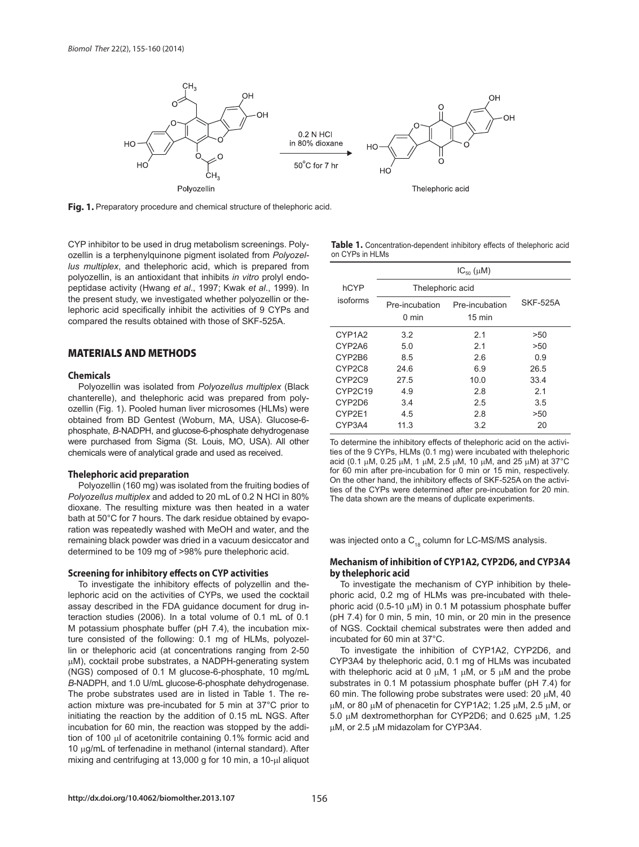

Fig. 1. Preparatory procedure and chemical structure of thelephoric acid.

CYP inhibitor to be used in drug metabolism screenings. Polyozellin is a terphenylquinone pigment isolated from *Polyozellus multiplex*, and thelephoric acid, which is prepared from polyozellin, is an antioxidant that inhibits *in vitro* prolyl endopeptidase activity (Hwang *et al*., 1997; Kwak *et al*., 1999). In the present study, we investigated whether polyozellin or thelephoric acid specifically inhibit the activities of 9 CYPs and compared the results obtained with those of SKF-525A.

# MATERIALS AND METHODS

#### **Chemicals**

Polyozellin was isolated from *Polyozellus multiplex* (Black chanterelle), and thelephoric acid was prepared from polyozellin (Fig. 1). Pooled human liver microsomes (HLMs) were obtained from BD Gentest (Woburn, MA, USA). Glucose-6 phosphate, *B*-NADPH, and glucose-6-phosphate dehydrogenase were purchased from Sigma (St. Louis, MO, USA). All other chemicals were of analytical grade and used as received.

## **Thelephoric acid preparation**

Polyozellin (160 mg) was isolated from the fruiting bodies of *Polyozellus multiplex* and added to 20 mL of 0.2 N HCl in 80% dioxane. The resulting mixture was then heated in a water bath at 50°C for 7 hours. The dark residue obtained by evaporation was repeatedly washed with MeOH and water, and the remaining black powder was dried in a vacuum desiccator and determined to be 109 mg of >98% pure thelephoric acid.

#### **Screening for inhibitory effects on CYP activities**

To investigate the inhibitory effects of polyzellin and thelephoric acid on the activities of CYPs, we used the cocktail assay described in the FDA guidance document for drug interaction studies (2006). In a total volume of 0.1 mL of 0.1 M potassium phosphate buffer (pH 7.4), the incubation mixture consisted of the following: 0.1 mg of HLMs, polyozellin or thelephoric acid (at concentrations ranging from 2-50 µM), cocktail probe substrates, a NADPH-generating system (NGS) composed of 0.1 M glucose-6-phosphate, 10 mg/mL *B*-NADPH, and 1.0 U/mL glucose-6-phosphate dehydrogenase. The probe substrates used are in listed in Table 1. The reaction mixture was pre-incubated for 5 min at 37°C prior to initiating the reaction by the addition of 0.15 mL NGS. After incubation for 60 min, the reaction was stopped by the addition of 100 µl of acetonitrile containing 0.1% formic acid and 10  $\mu$ g/mL of terfenadine in methanol (internal standard). After mixing and centrifuging at 13,000 g for 10 min, a 10- $\mu$ l aliquot

**Table 1.** Concentration-dependent inhibitory effects of thelephoric acid on CYPs in HLMs

|                  | $IC_{50}(\mu M)$                  |                                    |                 |
|------------------|-----------------------------------|------------------------------------|-----------------|
| hCYP<br>isoforms | Thelephoric acid                  |                                    |                 |
|                  | Pre-incubation<br>$0 \text{ min}$ | Pre-incubation<br>$15 \text{ min}$ | <b>SKF-525A</b> |
| CYP1A2           | 3.2                               | 2.1                                | >50             |
| CYP2A6           | 5.0                               | 2.1                                | >50             |
| CYP2B6           | 8.5                               | 2.6                                | 0.9             |
| CYP2C8           | 24.6                              | 6.9                                | 26.5            |
| CYP2C9           | 27.5                              | 10.0                               | 33.4            |
| CYP2C19          | 4.9                               | 2.8                                | 21              |
| CYP2D6           | 3.4                               | 2.5                                | 3.5             |
| CYP2E1           | 4.5                               | 2.8                                | >50             |
| CYP3A4           | 11.3                              | 3.2                                | 20              |

To determine the inhibitory effects of thelephoric acid on the activities of the 9 CYPs, HLMs (0.1 mg) were incubated with thelephoric acid (0.1  $\mu$ M, 0.25  $\mu$ M, 1  $\mu$ M, 2.5  $\mu$ M, 10  $\mu$ M, and 25  $\mu$ M) at 37°C for 60 min after pre-incubation for 0 min or 15 min, respectively. On the other hand, the inhibitory effects of SKF-525A on the activities of the CYPs were determined after pre-incubation for 20 min. The data shown are the means of duplicate experiments.

was injected onto a  $C_{18}$  column for LC-MS/MS analysis.

#### **Mechanism of inhibition of CYP1A2, CYP2D6, and CYP3A4 by thelephoric acid**

To investigate the mechanism of CYP inhibition by thelephoric acid, 0.2 mg of HLMs was pre-incubated with thelephoric acid (0.5-10  $\mu$ M) in 0.1 M potassium phosphate buffer (pH 7.4) for 0 min, 5 min, 10 min, or 20 min in the presence of NGS. Cocktail chemical substrates were then added and incubated for 60 min at 37°C.

To investigate the inhibition of CYP1A2, CYP2D6, and CYP3A4 by thelephoric acid, 0.1 mg of HLMs was incubated with the lephoric acid at 0  $\mu$ M, 1  $\mu$ M, or 5  $\mu$ M and the probe substrates in 0.1 M potassium phosphate buffer (pH 7.4) for 60 min. The following probe substrates were used:  $20 \mu M$ ,  $40 \mu M$  $\mu$ M, or 80  $\mu$ M of phenacetin for CYP1A2; 1.25  $\mu$ M, 2.5  $\mu$ M, or  $5.0 \mu$ M dextromethorphan for CYP2D6; and 0.625  $\mu$ M, 1.25  $\mu$ M, or 2.5  $\mu$ M midazolam for CYP3A4.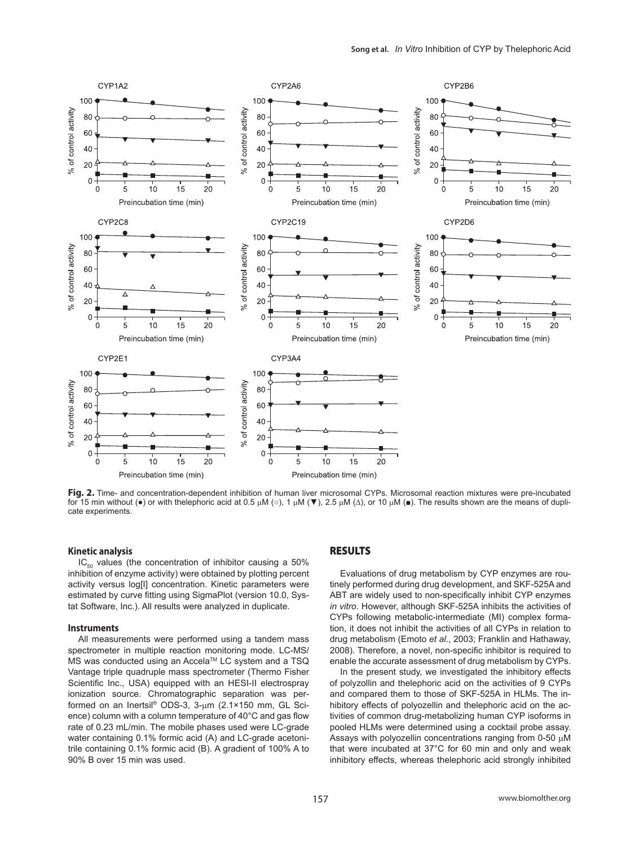

**Fig. 2.** Time- and concentration-dependent inhibition of human liver microsomal CYPs. Microsomal reaction mixtures were pre-incubated for 15 min without ( $\bullet$ ) or with thelephoric acid at 0.5 μM (o), 1 μM ( $\nabla$ ), 2.5 μM (Δ), or 10 μM ( $\bullet$ ). The results shown are the means of duplicate experiments.

## **Kinetic analysis**

 $IC_{50}$  values (the concentration of inhibitor causing a 50% inhibition of enzyme activity) were obtained by plotting percent activity versus log[I] concentration. Kinetic parameters were estimated by curve fitting using SigmaPlot (version 10.0, Systat Software, Inc.). All results were analyzed in duplicate.

#### **Instruments**

All measurements were performed using a tandem mass spectrometer in multiple reaction monitoring mode. LC-MS/ MS was conducted using an Accela™ LC system and a TSQ Vantage triple quadruple mass spectrometer (Thermo Fisher Scientific Inc., USA) equipped with an HESI-II electrospray ionization source. Chromatographic separation was performed on an Inertsil® ODS-3, 3-µm (2.1×150 mm, GL Science) column with a column temperature of 40°C and gas flow rate of 0.23 mL/min. The mobile phases used were LC-grade water containing 0.1% formic acid (A) and LC-grade acetonitrile containing 0.1% formic acid (B). A gradient of 100% A to 90% B over 15 min was used.

# RESULTS

Evaluations of drug metabolism by CYP enzymes are routinely performed during drug development, and SKF-525A and ABT are widely used to non-specifically inhibit CYP enzymes *in vitro*. However, although SKF-525A inhibits the activities of CYPs following metabolic-intermediate (MI) complex formation, it does not inhibit the activities of all CYPs in relation to drug metabolism (Emoto *et al*., 2003; Franklin and Hathaway, 2008). Therefore, a novel, non-specific inhibitor is required to enable the accurate assessment of drug metabolism by CYPs.

In the present study, we investigated the inhibitory effects of polyzollin and thelephoric acid on the activities of 9 CYPs and compared them to those of SKF-525A in HLMs. The inhibitory effects of polyozellin and thelephoric acid on the activities of common drug-metabolizing human CYP isoforms in pooled HLMs were determined using a cocktail probe assay. Assays with polyozellin concentrations ranging from 0-50  $\mu$ M that were incubated at 37°C for 60 min and only and weak inhibitory effects, whereas thelephoric acid strongly inhibited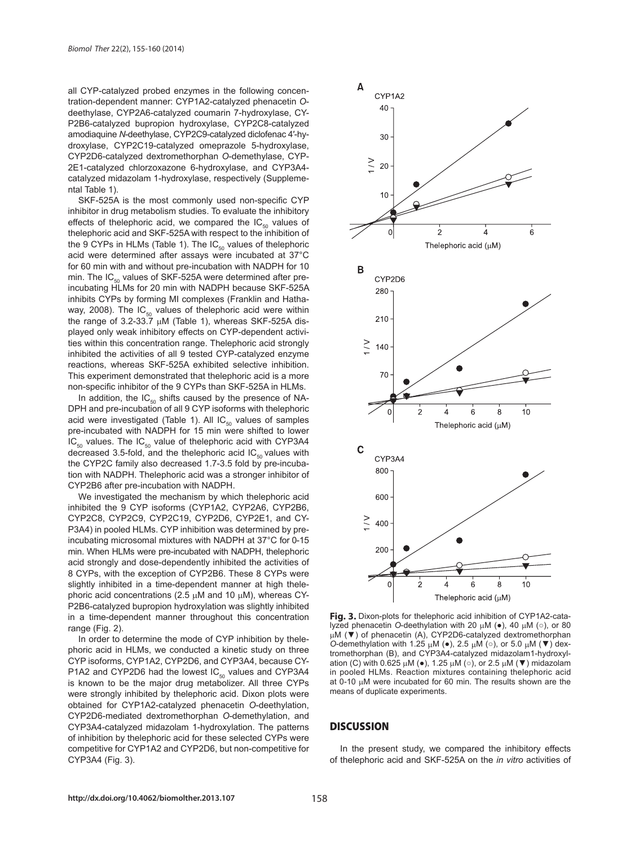all CYP-catalyzed probed enzymes in the following concentration-dependent manner: CYP1A2-catalyzed phenacetin *O*deethylase, CYP2A6-catalyzed coumarin 7-hydroxylase, CY-P2B6-catalyzed bupropion hydroxylase, CYP2C8-catalyzed amodiaquine *N*-deethylase, CYP2C9-catalyzed diclofenac 4′-hydroxylase, CYP2C19-catalyzed omeprazole 5-hydroxylase, CYP2D6-catalyzed dextromethorphan *O*-demethylase, CYP-2E1-catalyzed chlorzoxazone 6-hydroxylase, and CYP3A4 catalyzed midazolam 1-hydroxylase, respectively (Supplemental Table 1).

SKF-525A is the most commonly used non-specific CYP inhibitor in drug metabolism studies. To evaluate the inhibitory effects of thelephoric acid, we compared the  $IC_{50}$  values of thelephoric acid and SKF-525A with respect to the inhibition of the 9 CYPs in HLMs (Table 1). The  $IC_{50}$  values of thelephoric acid were determined after assays were incubated at 37°C for 60 min with and without pre-incubation with NADPH for 10 min. The  $IC_{50}$  values of SKF-525A were determined after preincubating HLMs for 20 min with NADPH because SKF-525A inhibits CYPs by forming MI complexes (Franklin and Hathaway, 2008). The IC<sub>50</sub> values of thelephoric acid were within the range of 3.2-33.7 µM (Table 1), whereas SKF-525A displayed only weak inhibitory effects on CYP-dependent activities within this concentration range. Thelephoric acid strongly inhibited the activities of all 9 tested CYP-catalyzed enzyme reactions, whereas SKF-525A exhibited selective inhibition. This experiment demonstrated that thelephoric acid is a more non-specific inhibitor of the 9 CYPs than SKF-525A in HLMs.

In addition, the  $IC_{50}$  shifts caused by the presence of NA-DPH and pre-incubation of all 9 CYP isoforms with thelephoric acid were investigated (Table 1). All  $IC_{50}$  values of samples pre-incubated with NADPH for 15 min were shifted to lower  $IC_{50}$  values. The  $IC_{50}$  value of thelephoric acid with CYP3A4 decreased 3.5-fold, and the thelephoric acid  $IC_{50}$  values with the CYP2C family also decreased 1.7-3.5 fold by pre-incubation with NADPH. Thelephoric acid was a stronger inhibitor of CYP2B6 after pre-incubation with NADPH.

We investigated the mechanism by which thelephoric acid inhibited the 9 CYP isoforms (CYP1A2, CYP2A6, CYP2B6, CYP2C8, CYP2C9, CYP2C19, CYP2D6, CYP2E1, and CY-P3A4) in pooled HLMs. CYP inhibition was determined by preincubating microsomal mixtures with NADPH at 37°C for 0-15 min. When HLMs were pre-incubated with NADPH, thelephoric acid strongly and dose-dependently inhibited the activities of 8 CYPs, with the exception of CYP2B6. These 8 CYPs were slightly inhibited in a time-dependent manner at high thelephoric acid concentrations (2.5  $\mu$ M and 10  $\mu$ M), whereas CY-P2B6-catalyzed bupropion hydroxylation was slightly inhibited in a time-dependent manner throughout this concentration range (Fig. 2).

In order to determine the mode of CYP inhibition by thelephoric acid in HLMs, we conducted a kinetic study on three CYP isoforms, CYP1A2, CYP2D6, and CYP3A4, because CY-P1A2 and CYP2D6 had the lowest  $IC_{50}$  values and CYP3A4 is known to be the major drug metabolizer. All three CYPs were strongly inhibited by thelephoric acid. Dixon plots were obtained for CYP1A2-catalyzed phenacetin *O*-deethylation, CYP2D6-mediated dextromethorphan *O*-demethylation, and CYP3A4-catalyzed midazolam 1-hydroxylation. The patterns of inhibition by thelephoric acid for these selected CYPs were competitive for CYP1A2 and CYP2D6, but non-competitive for CYP3A4 (Fig. 3).



Fig. 3. Dixon-plots for thelephoric acid inhibition of CYP1A2-catalyzed phenacetin *O*-deethylation with 20 μM (●), 40 μM (○), or 80 μM (▼) of phenacetin (A), CYP2D6-catalyzed dextromethorphan *O*-demethylation with 1.25 μM ( $\bullet$ ), 2.5 μM ( $\circ$ ), or 5.0 μM ( $\nabla$ ) dextromethorphan (B), and CYP3A4-catalyzed midazolam1-hydroxylation (C) with 0.625  $\mu$ M ( $\bullet$ ), 1.25  $\mu$ M ( $\circ$ ), or 2.5  $\mu$ M ( $\nabla$ ) midazolam in pooled HLMs. Reaction mixtures containing thelephoric acid at 0-10 μM were incubated for 60 min. The results shown are the means of duplicate experiments.

# **DISCUSSION**

In the present study, we compared the inhibitory effects of thelephoric acid and SKF-525A on the *in vitro* activities of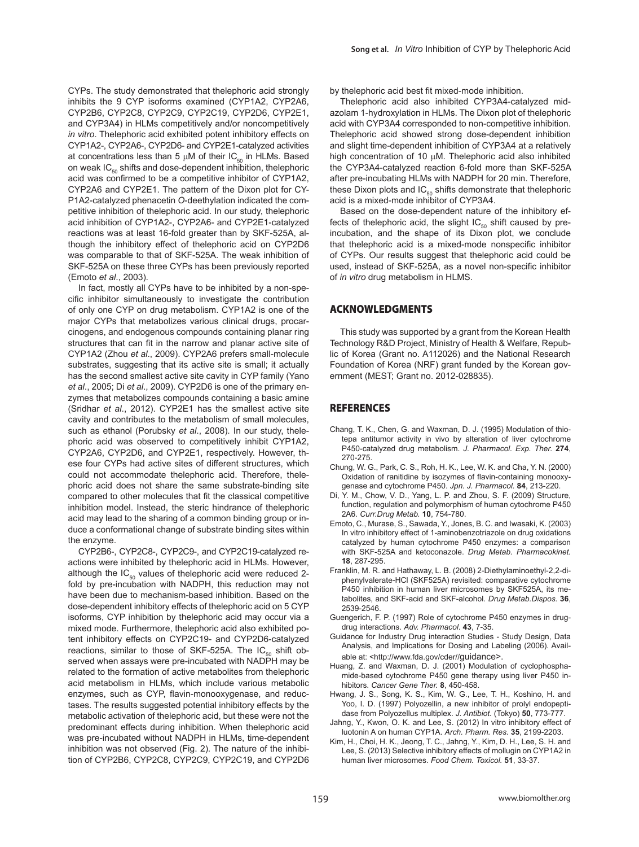CYPs. The study demonstrated that thelephoric acid strongly inhibits the 9 CYP isoforms examined (CYP1A2, CYP2A6, CYP2B6, CYP2C8, CYP2C9, CYP2C19, CYP2D6, CYP2E1, and CYP3A4) in HLMs competitively and/or noncompetitively *in vitro*. Thelephoric acid exhibited potent inhibitory effects on CYP1A2-, CYP2A6-, CYP2D6- and CYP2E1-catalyzed activities at concentrations less than 5  $\mu$ M of their IC<sub>50</sub> in HLMs. Based on weak  $IC_{50}$  shifts and dose-dependent inhibition, thelephoric acid was confirmed to be a competitive inhibitor of CYP1A2, CYP2A6 and CYP2E1. The pattern of the Dixon plot for CY-P1A2-catalyzed phenacetin *O*-deethylation indicated the competitive inhibition of thelephoric acid. In our study, thelephoric acid inhibition of CYP1A2-, CYP2A6- and CYP2E1-catalyzed reactions was at least 16-fold greater than by SKF-525A, although the inhibitory effect of thelephoric acid on CYP2D6 was comparable to that of SKF-525A. The weak inhibition of SKF-525A on these three CYPs has been previously reported (Emoto *et al*., 2003).

In fact, mostly all CYPs have to be inhibited by a non-specific inhibitor simultaneously to investigate the contribution of only one CYP on drug metabolism. CYP1A2 is one of the major CYPs that metabolizes various clinical drugs, procarcinogens, and endogenous compounds containing planar ring structures that can fit in the narrow and planar active site of CYP1A2 (Zhou *et al*., 2009). CYP2A6 prefers small-molecule substrates, suggesting that its active site is small; it actually has the second smallest active site cavity in CYP family (Yano *et al*., 2005; Di *et al*., 2009). CYP2D6 is one of the primary enzymes that metabolizes compounds containing a basic amine (Sridhar *et al*., 2012). CYP2E1 has the smallest active site cavity and contributes to the metabolism of small molecules, such as ethanol (Porubsky *et al*., 2008). In our study, thelephoric acid was observed to competitively inhibit CYP1A2, CYP2A6, CYP2D6, and CYP2E1, respectively. However, these four CYPs had active sites of different structures, which could not accommodate thelephoric acid. Therefore, thelephoric acid does not share the same substrate-binding site compared to other molecules that fit the classical competitive inhibition model. Instead, the steric hindrance of thelephoric acid may lead to the sharing of a common binding group or induce a conformational change of substrate binding sites within the enzyme.

CYP2B6-, CYP2C8-, CYP2C9-, and CYP2C19-catalyzed reactions were inhibited by thelephoric acid in HLMs. However, although the  $IC_{50}$  values of thelephoric acid were reduced 2fold by pre-incubation with NADPH, this reduction may not have been due to mechanism-based inhibition. Based on the dose-dependent inhibitory effects of thelephoric acid on 5 CYP isoforms, CYP inhibition by thelephoric acid may occur via a mixed mode. Furthermore, thelephoric acid also exhibited potent inhibitory effects on CYP2C19- and CYP2D6-catalyzed reactions, similar to those of SKF-525A. The  $IC_{50}$  shift observed when assays were pre-incubated with NADPH may be related to the formation of active metabolites from thelephoric acid metabolism in HLMs, which include various metabolic enzymes, such as CYP, flavin-monooxygenase, and reductases. The results suggested potential inhibitory effects by the metabolic activation of thelephoric acid, but these were not the predominant effects during inhibition. When thelephoric acid was pre-incubated without NADPH in HLMs, time-dependent inhibition was not observed (Fig. 2). The nature of the inhibition of CYP2B6, CYP2C8, CYP2C9, CYP2C19, and CYP2D6 by thelephoric acid best fit mixed-mode inhibition.

Thelephoric acid also inhibited CYP3A4-catalyzed midazolam 1-hydroxylation in HLMs. The Dixon plot of thelephoric acid with CYP3A4 corresponded to non-competitive inhibition. Thelephoric acid showed strong dose-dependent inhibition and slight time-dependent inhibition of CYP3A4 at a relatively high concentration of 10  $\mu$ M. Thelephoric acid also inhibited the CYP3A4-catalyzed reaction 6-fold more than SKF-525A after pre-incubating HLMs with NADPH for 20 min. Therefore, these Dixon plots and  $IC_{50}$  shifts demonstrate that thelephoric acid is a mixed-mode inhibitor of CYP3A4.

Based on the dose-dependent nature of the inhibitory effects of thelephoric acid, the slight  $IC_{50}$  shift caused by preincubation, and the shape of its Dixon plot, we conclude that thelephoric acid is a mixed-mode nonspecific inhibitor of CYPs. Our results suggest that thelephoric acid could be used, instead of SKF-525A, as a novel non-specific inhibitor of *in vitro* drug metabolism in HLMS.

#### ACKNOWLEDGMENTS

This study was supported by a grant from the Korean Health Technology R&D Project, Ministry of Health & Welfare, Republic of Korea (Grant no. A112026) and the National Research Foundation of Korea (NRF) grant funded by the Korean government (MEST; Grant no. 2012-028835).

## **REFERENCES**

- Chang, T. K., Chen, G. and Waxman, D. J. (1995) Modulation of thiotepa antitumor activity in vivo by alteration of liver cytochrome P450-catalyzed drug metabolism. *J. Pharmacol. Exp. Ther.* **274**, 270-275.
- Chung, W. G., Park, C. S., Roh, H. K., Lee, W. K. and Cha, Y. N. (2000) Oxidation of ranitidine by isozymes of flavin-containing monooxygenase and cytochrome P450. *Jpn. J. Pharmacol.* **84**, 213-220.
- Di, Y. M., Chow, V. D., Yang, L. P. and Zhou, S. F. (2009) Structure, function, regulation and polymorphism of human cytochrome P450 2A6. *Curr.Drug Metab.* **10**, 754-780.
- Emoto, C., Murase, S., Sawada, Y., Jones, B. C. and Iwasaki, K. (2003) In vitro inhibitory effect of 1-aminobenzotriazole on drug oxidations catalyzed by human cytochrome P450 enzymes: a comparison with SKF-525A and ketoconazole. *Drug Metab. Pharmacokinet.*  **18**, 287-295.
- Franklin, M. R. and Hathaway, L. B. (2008) 2-Diethylaminoethyl-2,2-diphenylvalerate-HCl (SKF525A) revisited: comparative cytochrome P450 inhibition in human liver microsomes by SKF525A, its metabolites, and SKF-acid and SKF-alcohol. *Drug Metab.Dispos.* **36**, 2539-2546.
- Guengerich, F. P. (1997) Role of cytochrome P450 enzymes in drugdrug interactions. *Adv. Pharmacol*. **43**, 7-35.
- Guidance for Industry Drug interaction Studies Study Design, Data Analysis, and Implications for Dosing and Labeling (2006). Available at: <http://www.fda.gov/cder//guidance>.
- Huang, Z. and Waxman, D. J. (2001) Modulation of cyclophosphamide-based cytochrome P450 gene therapy using liver P450 inhibitors. *Cancer Gene Ther.* **8**, 450-458.
- Hwang, J. S., Song, K. S., Kim, W. G., Lee, T. H., Koshino, H. and Yoo, I. D. (1997) Polyozellin, a new inhibitor of prolyl endopeptidase from Polyozellus multiplex. *J. Antibiot.* (Tokyo) **50**, 773-777.
- Jahng, Y., Kwon, O. K. and Lee, S. (2012) In vitro inhibitory effect of luotonin A on human CYP1A. *Arch. Pharm. Res.* **35**, 2199-2203.
- Kim, H., Choi, H. K., Jeong, T. C., Jahng, Y., Kim, D. H., Lee, S. H. and Lee, S. (2013) Selective inhibitory effects of mollugin on CYP1A2 in human liver microsomes. *Food Chem. Toxicol.* **51**, 33-37.